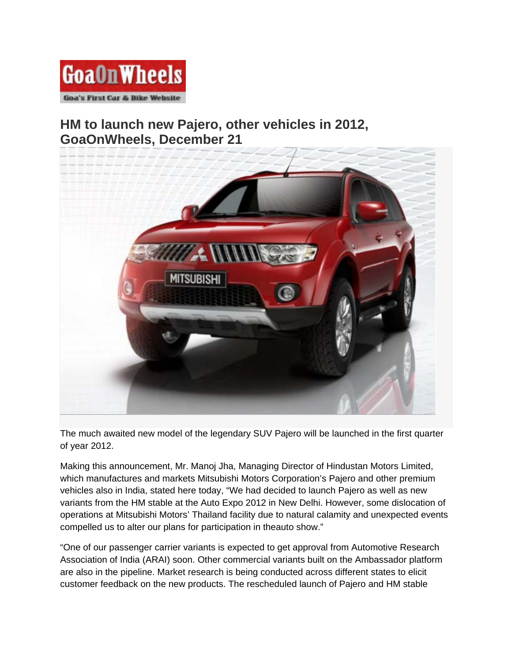

## **HM to launch new Pajero, other vehicles in 2012, [GoaOnWheels, December 21](http://goaonwheels.com/2011/12/21/hm-to-launch-new-pajero-other-vehicles-in-2012/mitsubishi-pajero-sport-2/)**



The much awaited new model of the legendary SUV Pajero will be launched in the first quarter of year 2012.

Making this announcement, Mr. Manoj Jha, Managing Director of Hindustan Motors Limited, which manufactures and markets Mitsubishi Motors Corporation's Pajero and other premium vehicles also in India, stated here today, "We had decided to launch Pajero as well as new variants from the HM stable at the Auto Expo 2012 in New Delhi. However, some dislocation of operations at Mitsubishi Motors' Thailand facility due to natural calamity and unexpected events compelled us to alter our plans for participation in theauto show."

"One of our passenger carrier variants is expected to get approval from Automotive Research Association of India (ARAI) soon. Other commercial variants built on the Ambassador platform are also in the pipeline. Market research is being conducted across different states to elicit customer feedback on the new products. The rescheduled launch of Pajero and HM stable